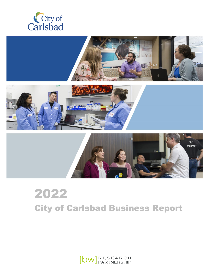





# 2022 City of Carlsbad Business Report

 $[DW]$  RESEARCH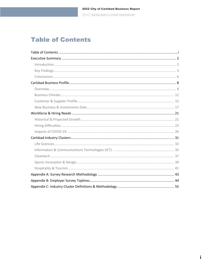# <span id="page-1-0"></span>**Table of Contents**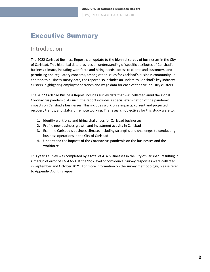# <span id="page-2-0"></span>Executive Summary

### <span id="page-2-1"></span>**Introduction**

The 2022 Carlsbad Business Report is an update to the biennial survey of businesses in the City of Carlsbad. This historical data provides an understanding of specific attributes of Carlsbad's business climate, including workforce and hiring needs, access to clients and customers, and permitting and regulatory concerns, among other issues for Carlsbad's business community. In addition to business survey data, the report also includes an update to Carlsbad's key industry clusters, highlighting employment trends and wage data for each of the five industry clusters.

The 2022 Carlsbad Business Report includes survey data that was collected amid the global Coronavirus pandemic. As such, the report includes a special examination of the pandemic impacts on Carlsbad's businesses. This includes workforce impacts, current and projected recovery trends, and status of remote working. The research objectives for this study were to:

- 1. Identify workforce and hiring challenges for Carlsbad businesses
- 2. Profile new business growth and investment activity in Carlsbad
- 3. Examine Carlsbad's business climate, including strengths and challenges to conducting business operations in the City of Carlsbad
- 4. Understand the impacts of the Coronavirus pandemic on the businesses and the workforce

This year's survey was completed by a total of 414 businesses in the City of Carlsbad, resulting in a margin of error of +/- 4.65% at the 95% level of confidence. Survey responses were collected in September and October 2021. For more information on the survey methodology, please refer to Appendix A of this report.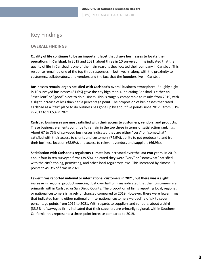# <span id="page-3-0"></span>Key Findings

### **OVERALL FINDINGS**

**Quality of life continues to be an important facet that draws businesses to locate their operations in Carlsbad.** In 2019 and 2021, about three in 10 surveyed firms indicated that the quality of life in Carlsbad is one of the main reasons they located their company in Carlsbad. This response remained one of the top three responses in both years, along with the proximity to customers, collaborators, and vendors and the fact that the founders live in Carlsbad.

**Businesses remain largely satisfied with Carlsbad's overall business atmosphere.** Roughly eight in 10 surveyed businesses (81.6%) gave the city high marks, indicating Carlsbad is either an "excellent" or "good" place to do business. This is roughly comparable to results from 2019, with a slight increase of less than half a percentage point. The proportion of businesses that rated Carlsbad as a "fair" place to do business has gone up by about five points since 2012—from 8.1% in 2012 to 13.5% in 2021.

**Carlsbad businesses are most satisfied with their access to customers, vendors, and products.**  These business elements continue to remain in the top three in terms of satisfaction rankings. About 67 to 75% of surveyed businesses indicated they are either "very" or "somewhat" satisfied with their access to clients and customers (74.9%), ability to get products to and from their business location (68.9%), and access to relevant vendors and suppliers (66.9%).

**Satisfaction with Carlsbad's regulatory climate has increased over the last two years.** In 2019, about four in ten surveyed firms (39.5%) indicated they were "very" or "somewhat" satisfied with the city's zoning, permitting, and other local regulatory laws. This increased by almost 10 points to 49.3% of firms in 2021.

**Fewer firms reported national or international customers in 2021, but there was a slight increase in regional product sourcing.** Just over half of firms indicated that their customers are primarily within Carlsbad or San Diego County. The proportion of firms reporting local, regional, or national customers is largely unchanged compared to 2019. However, there were fewer firms that indicated having either national or international customers—a decline of six to seven percentage points from 2019 to 2021. With regards to suppliers and vendors, about a third (33.3%) of surveyed firms indicated that their suppliers are primarily regional, within Southern California; this represents a three-point increase compared to 2019.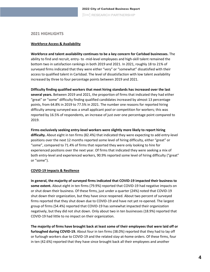#### **2021 HIGHLIGHTS**

#### **Workforce Access & Availability**

**Workforce and talent availability continues to be a key concern for Carlsbad businesses.** The ability to find and recruit, entry- to -mid-level employees and high-skill talent remained the bottom two in satisfaction rankings in both 2019 and 2021. In 2021, roughly 18 to 21% of surveyed firms indicated that they were either "very" or "somewhat" dissatisfied with their access to qualified talent in Carlsbad. The level of dissatisfaction with low talent availability increased by three to four percentage points between 2019 and 2021.

**Difficulty finding qualified workers that meet hiring standards has increased over the last several years.** Between 2019 and 2021, the proportion of firms that indicated they had either "great" or "some" difficulty finding qualified candidates increased by almost 13 percentage points, from 64.8% in 2019 to 77.5% in 2021. The number one reasons for reported hiring difficulty among surveyed was a small applicant pool or competition for workers; this was reported by 16.5% of respondents, an increase of just over one percentage point compared to 2019.

**Firms exclusively seeking entry-level workers were slightly more likely to report hiring difficulty.** About eight in ten firms (82.4%) that indicated they were expecting to add entry-level positions over the next 12 months reported some level of hiring difficulty, either "great" or "some", compared to 71.4% of firms that reported they were only looking to hire for experienced positions over the next year. Of firms that indicated they were seeking a mix of both entry-level and experienced workers, 90.9% reported some level of hiring difficulty ("great" or "some").

#### **COVID-19 Impacts & Resilience**

**In general, the majority of surveyed firms indicated that COVID-19 impacted their business to some extent.** About eight in ten firms (79.9%) reported that COVID-19 had negative impacts on or shut down their business. Of these firms, just under a quarter (24%) noted that COVID-19 shut down their organization, but they have since reopened. About two percent of surveyed firms reported that they shut down due to COVID-19 and have not yet re-opened. The largest group of firms (54.4%) reported that COVID-19 has somewhat impacted their organization negatively, but they did not shut down. Only about two in ten businesses (18.9%) reported that COVID-19 had little to no impact on their organization.

**The majority of firms have brought back at least some of their employees that were laid off or furloughed during COVID-19.** About four in ten firms (38.0%) reported that they had to lay off or furlough workers due to COVID-19 and the related stay-at-home orders. Of these firms, four in ten (42.6%) reported that they have since brought back all their employees and another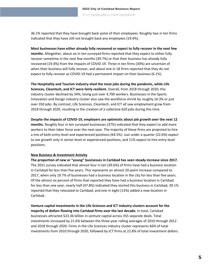36.1% reported that they have brought back some of their employees. Roughly two in ten firms indicated that they have still not brought back any employees (19.4%).

**Most businesses have either already fully recovered or expect to fully recover in the next few months.** Altogether, about six in ten surveyed firms reported that they expect to either fully recover sometime in the next few months (39.7%) or that their business has already fully recovered (19.4%) from the impacts of COVID-19. Three in ten firms (30%) are uncertain of when their business will fully recover, and about one in 18 firms reported that they do not expect to fully recover as COVID-19 had a permanent impact on their business (6.1%).

**The Hospitality and Tourism industry shed the most jobs during the pandemic, while Life Sciences, Cleantech, and ICT were fairly resilient.** Overall, from 2018 through 2020, this industry cluster declined by 34%, losing just over 4,700 workers. Businesses in the Sports Innovation and Design industry cluster also saw the workforce shrink by roughly 16.3% or just over 350 jobs. By contrast, Life Sciences, Cleantech, and ICT all saw employment grow from 2018 through 2020, resulting in the creation of a collective 620 jobs during this time.

**Despite the impacts of COVID-19, employers are optimistic about job growth over the next 12 months.** Roughly four in ten surveyed businesses (37%) indicated that they expect to add more workers to their labor force over the next year. The majority of these firms are projected to hire a mix of both entry-level and experienced positions (64.5%). Just under a quarter (22.6%) expect to see growth only in senior-level or experienced positions, and 11% expect to hire entry-level positions.

#### **New Business & Investment Activity**

**The proportion of new or "young" businesses in Carlsbad has seen steady increase since 2017.**  The 2021 survey indicated that almost four in ten (39.6%) of firms have had a business location in Carlsbad for less than five years. This represents an almost 20-point increase compared to 2017, when only 19.7% of businesses had a business location in the city for less than five years. Of the almost six percent of firms that reported they have had a business location in Carlsbad for less than one year, nearly half (47.8%) indicated they started this business in Carlsbad, 39.1% reported that they relocated to Carlsbad, and one in eight (13%) added a new location in Carlsbad.

**Venture capital investments in the Life Sciences and ICT industry clusters account for the majority of dollars flowing into Carlsbad firms over the last decade.** In total, Carlsbad businesses attracted \$23.36 billion in venture capital across 355 separate deals. Total investments increased by 21.6% between the three-year rolling averages of 2010 through 2012 and 2018 through 2020. Firms in the Life Sciences industry cluster represents 66% of total investments from 2010 through 2020, followed by ICT firms at 22.8% of total investment dollars.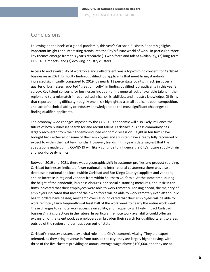### <span id="page-6-0"></span>Conclusions

Following on the heels of a global pandemic, this year's Carlsbad Business Report highlights important insights and interesting trends into the City's future world of work. In particular, three key themes emerge from this year's research: (1) workforce and talent availability; (2) long-term COVID-19 impacts; and (3) evolving industry clusters.

Access to and availability of workforce and skilled talent was a top-of-mind concern for Carlsbad businesses in 2021. Difficulty finding qualified job applicants that meet hiring standards increased significantly compared to 2019, by nearly 13 percentage points. In fact, just over a quarter of businesses reported "great difficulty" in finding qualified job applicants in this year's survey. Key talent concerns for businesses include: (a) the general lack of available talent in the region and (b) a mismatch in required technical skills, abilities, and industry knowledge. Of firms that reported hiring difficulty, roughly one in six highlighted a small applicant pool, competition, and lack of technical ability or industry knowledge to be the most significant challenges to finding qualified applicants.

The economy-wide changes imposed by the COVID-19 pandemic will also likely influence the future of how businesses search for and recruit talent. Carlsbad's business community has largely recovered from the pandemic-induced economic recession—eight in ten firms have brought back either all or some of their employees and six in ten have already fully recovered or expect to within the next few months. However, trends in this year's data suggest that the adaptations made during COVID-19 will likely continue to influence the City's future supply chain and workforce dynamics.

Between 2019 and 2021, there was a geographic shift in customer profiles and product sourcing. Carlsbad businesses indicated fewer national and international customers; there was also a decrease in national and local (within Carlsbad and San Diego County) suppliers and vendors, and an increase in regional vendors from within Southern California. At the same time, during the height of the pandemic, business closures, and social distancing measures, about six in ten firms indicated that their employees were able to work remotely. Looking ahead, the majority of employers indicated that most of their workforce will be able to work remotely even after public health orders have passed; most employers also indicated that their employees will be able to work remotely fairly frequently—at least half of the work week to nearly the entire work week. These changes to remote work access, availability, and frequency will likely impact Carlsbad business' hiring practices in the future. In particular, remote work availability could offer an expansion of the talent pool, as employers can broaden their search for qualified talent to areas outside of the region and perhaps even out-of-state.

Carlsbad's industry clusters play a vital role in the City's economic vitality. They are exportoriented, as they bring revenue in from outside the city, they are largely higher paying, with three of the five clusters providing an annual average wage above \$100,000, and they are at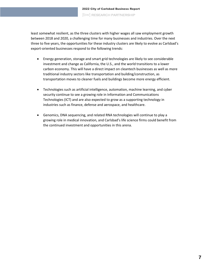least somewhat resilient, as the three clusters with higher wages all saw employment growth between 2018 and 2020, a challenging time for many businesses and industries. Over the next three to five years, the opportunities for these industry clusters are likely to evolve as Carlsbad's export-oriented businesses respond to the following trends:

- Energy generation, storage and smart grid technologies are likely to see considerable investment and change as California, the U.S., and the world transitions to a lower carbon economy. This will have a direct impact on cleantech businesses as well as more traditional industry sectors like transportation and building/construction, as transportation moves to cleaner fuels and buildings become more energy efficient.
- Technologies such as artificial intelligence, automation, machine learning, and cyber security continue to see a growing role in Information and Communications Technologies (ICT) and are also expected to grow as a supporting technology in industries such as finance, defense and aerospace, and healthcare.
- Genomics, DNA sequencing, and related RNA technologies will continue to play a growing role in medical innovation, and Carlsbad's life science firms could benefit from the continued investment and opportunities in this arena.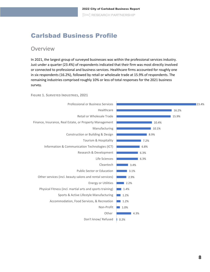# <span id="page-8-0"></span>Carlsbad Business Profile

### <span id="page-8-1"></span>Overview

In 2021, the largest group of surveyed businesses was within the professional services industry. Just under a quarter (23.4%) of respondents indicated that their firm was most directly involved or connected to professional and business services. Healthcare firms accounted for roughly one in six respondents (16.2%), followed by retail or wholesale trade at 15.9% of respondents. The remaining industries comprised roughly 10% or less of total responses for the 2021 business survey.

**FIGURE 1. SURVEYED INDUSTRIES, 2021**

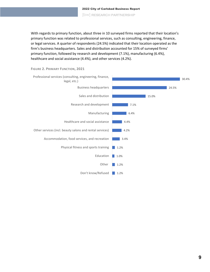2022 City of Carlsbad Business Report [bw] RESEARCH PARTNERSHIP

With regards to primary function, about three in 10 surveyed firms reported that their location's primary function was related to professional services, such as consulting, engineering, finance, or legal services. A quarter of respondents (24.5%) indicated that their location operated as the firm's business headquarters. Sales and distribution accounted for 15% of surveyed firms' primary function, followed by research and development (7.1%), manufacturing (6.4%), healthcare and social assistance (4.4%), and other services (4.2%).



**FIGURE 2. PRIMARY FUNCTION, 2021**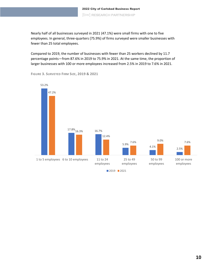Nearly half of all businesses surveyed in 2021 (47.1%) were small firms with one to five employees. In general, three-quarters (75.9%) of firms surveyed were smaller businesses with fewer than 25 total employees.

Compared to 2019, the number of businesses with fewer than 25 workers declined by 11.7 percentage points—from 87.6% in 2019 to 75.9% in 2021. At the same time, the proportion of larger businesses with 100 or more employees increased from 2.5% in 2019 to 7.6% in 2021.



**FIGURE 3. SURVEYED FIRM SIZE, 2019 & 2021**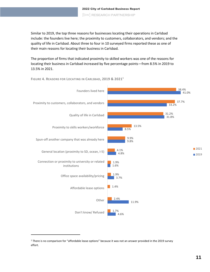Similar to 2019, the top three reasons for businesses locating their operations in Carlsbad include: the founders live here; the proximity to customers, collaborators, and vendors; and the quality of life in Carlsbad. About three to four in 10 surveyed firms reported these as one of their main reasons for locating their business in Carlsbad.

The proportion of firms that indicated proximity to skilled workers was one of the reasons for locating their business in Carlsbad increased by five percentage points—from 8.5% in 2019 to 13.5% in 2021.



**FIGURE 4. REASONS FOR LOCATING IN CARLSBAD, 2019 & 2021<sup>1</sup>**

<sup>&</sup>lt;sup>1</sup> There is no comparison for "affordable lease options" because it was not an answer provided in the 2019 survey effort.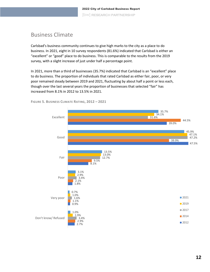### <span id="page-12-0"></span>Business Climate

Carlsbad's business community continues to give high marks to the city as a place to do business. In 2021, eight in 10 survey respondents (81.6%) indicated that Carlsbad is either an "excellent" or "good" place to do business. This is comparable to the results from the 2019 survey, with a slight increase of just under half a percentage point.

In 2021, more than a third of businesses (35.7%) indicated that Carlsbad is an "excellent" place to do business. The proportion of individuals that rated Carlsbad as either fair, poor, or very poor remained steady between 2019 and 2021, fluctuating by about half a point or less each, though over the last several years the proportion of businesses that selected "fair" has increased from 8.1% in 2012 to 13.5% in 2021.



**FIGURE 5. BUSINESS CLIMATE RATING, 2012 – 2021**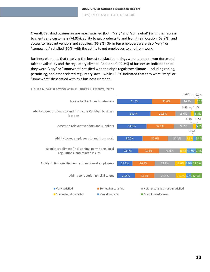Overall, Carlsbad businesses are most satisfied (both "very" and "somewhat") with their access to clients and customers (74.9%), ability to get products to and from their location (68.9%), and access to relevant vendors and suppliers (66.9%). Six in ten employers were also "very" or "somewhat" satisfied (60%) with the ability to get employees to and from work.

Business elements that received the lowest satisfaction ratings were related to workforce and talent availability and the regulatory climate. About half (49.3%) of businesses indicated that they were "very" or "somewhat" satisfied with the city's regulatory climate—including zoning, permitting, and other related regulatory laws—while 18.9% indicated that they were "very" or "somewhat" dissatisfied with this business element.



#### **FIGURE 6. SATISFACTION WITH BUSINESS ELEMENTS, 2021**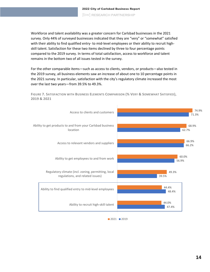Workforce and talent availability was a greater concern for Carlsbad businesses in the 2021 survey. Only 44% of surveyed businesses indicated that they are "very" or "somewhat" satisfied with their ability to find qualified entry- to mid-level employees or their ability to recruit highskill talent. Satisfaction for these two items declined by three to four percentage points compared to the 2019 survey. In terms of total satisfaction, access to workforce and talent remains in the bottom two of all issues tested in the survey.

For the other comparable items—such as access to clients, vendors, or products—also tested in the 2019 survey, all business elements saw an increase of about one to 10 percentage points in the 2021 survey. In particular, satisfaction with the city's regulatory climate increased the most over the last two years—from 39.5% to 49.3%.

FIGURE 7. SATISFACTION WITH BUSINESS ELEMENTS COMPARISON (% VERY & SOMEWHAT SATISFIED), **2019 & 2021**



 $2021$  2019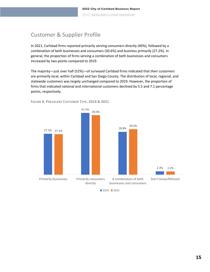# <span id="page-15-0"></span>Customer & Supplier Profile

In 2021, Carlsbad firms reported primarily serving consumers directly (40%), followed by a combination of both businesses and consumers (30.6%) and business primarily (27.2%). In general, the proportion of firms serving a combination of both businesses and consumers increased by two points compared to 2019.

The majority—just over half (52%)—of surveyed Carlsbad firms indicated that their customers are primarily local, within Carlsbad and San Diego County. The distribution of local, regional, and statewide customers was largely unchanged compared to 2019. However, the proportion of firms that indicated national and international customers declined by 5.5 and 7.1 percentage points, respectively.



**FIGURE 8. PREVALENT CUSTOMER TYPE, 2019 & 2021**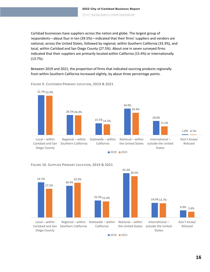Carlsbad businesses have suppliers across the nation and globe. The largest group of respondents—about four in ten (39.5%)—indicated that their firms' suppliers and vendors are national, across the United States, followed by regional, within Southern California (33.3%), and local, within Carlsbad and San Diego County (27.5%). About one in seven surveyed firms indicated that their suppliers are primarily located within California (15.4%) or internationally (13.7%).

Between 2019 and 2021, the proportion of firms that indicated sourcing products regionally from within Southern California increased slightly, by about three percentage points.



#### **FIGURE 9. CUSTOMER PRIMARY LOCATION, 2019 & 2021**



**FIGURE 10. SUPPLIER PRIMARY LOCATION, 2019 & 2021**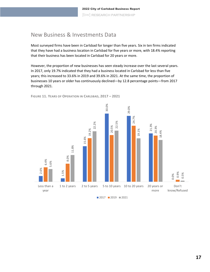### <span id="page-17-0"></span>New Business & Investments Data

Most surveyed firms have been in Carlsbad for longer than five years. Six in ten firms indicated that they have had a business location in Carlsbad for five years or more, with 18.4% reporting that their business has been located in Carlsbad for 20 years or more.

However, the proportion of new businesses has seen steady increase over the last several years. In 2017, only 19.7% indicated that they had a business located in Carlsbad for less than five years; this increased to 33.6% in 2019 and 39.6% in 2021. At the same time, the proportion of businesses 10 years or older has continuously declined—by 12.8 percentage points—from 2017 through 2021.



**FIGURE 11. YEARS OF OPERATION IN CARLSBAD, 2017 – 2021**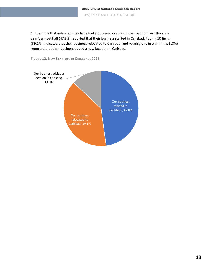Of the firms that indicated they have had a business location in Carlsbad for "less than one year", almost half (47.8%) reported that their business started in Carlsbad. Four in 10 firms (39.1%) indicated that their business relocated to Carlsbad, and roughly one in eight firms (13%) reported that their business added a new location in Carlsbad.



**FIGURE 12. NEW STARTUPS IN CARLSBAD, 2021**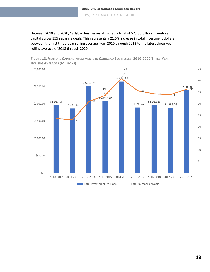Between 2010 and 2020, Carlsbad businesses attracted a total of \$23.36 billion in venture capital across 355 separate deals. This represents a 21.6% increase in total investment dollars between the first three-year rolling average from 2010 through 2012 to the latest three-year rolling average of 2018 through 2020.



**FIGURE 13. VENTURE CAPITAL INVESTMENTS IN CARLSBAD BUSINESSES, 2010-2020 THREE-YEAR ROLLING AVERAGES (MILLIONS)**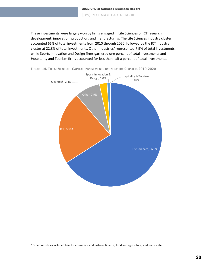These investments were largely won by firms engaged in Life Sciences or ICT research, development, innovation, production, and manufacturing. The Life Sciences industry cluster accounted 66% of total investments from 2010 through 2020, followed by the ICT industry cluster at 22.8% of total investments. Other industries<sup>2</sup> represented 7.9% of total investments, while Sports Innovation and Design firms garnered one percent of total investments and Hospitality and Tourism firms accounted for less than half a percent of total investments.





<sup>&</sup>lt;sup>2</sup> Other industries included beauty, cosmetics, and fashion; finance; food and agriculture; and real estate.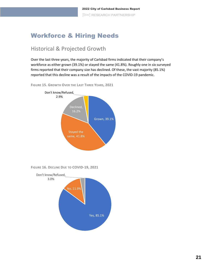# <span id="page-21-0"></span>Workforce & Hiring Needs

### <span id="page-21-1"></span>Historical & Projected Growth

Over the last three years, the majority of Carlsbad firms indicated that their company's workforce as either grown (39.1%) or stayed the same (41.8%). Roughly one in six surveyed firms reported that their company size has declined. Of these, the vast majority (85.1%) reported that this decline was a result of the impacts of the COVID-19 pandemic.

**FIGURE 15. GROWTH OVER THE LAST THREE YEARS, 2021**



**FIGURE 16. DECLINE DUE TO COVID-19, 2021**

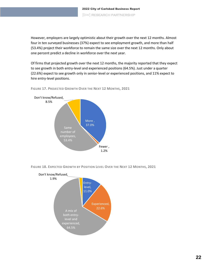However, employers are largely optimistic about their growth over the next 12 months. Almost four in ten surveyed businesses (37%) expect to see employment growth, and more than half (53.4%) project their workforce to remain the same size over the next 12 months. Only about one percent predict a decline in workforce over the next year.

Of firms that projected growth over the next 12 months, the majority reported that they expect to see growth in both entry-level and experienced positions (64.5%). Just under a quarter (22.6%) expect to see growth only in senior-level or experienced positions, and 11% expect to hire entry-level positions.



**FIGURE 17. PROJECTED GROWTH OVER THE NEXT 12 MONTHS, 2021**

**FIGURE 18. EXPECTED GROWTH BY POSITION LEVEL OVER THE NEXT 12 MONTHS, 2021**

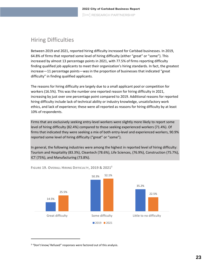# <span id="page-23-0"></span>Hiring Difficulties

Between 2019 and 2021, reported hiring difficulty increased for Carlsbad businesses. In 2019, 64.8% of firms that reported some level of hiring difficulty (either "great" or "some"). This increased by almost 13 percentage points in 2021, with 77.5% of firms reporting difficulty finding qualified job applicants to meet their organization's hiring standards. In fact, the greatest increase—11 percentage points—was in the proportion of businesses that indicated "great difficulty" in finding qualified applicants.

The reasons for hiring difficulty are largely due to a small applicant pool or competition for workers (16.5%). This was the number one reported reason for hiring difficulty in 2021, increasing by just over one percentage point compared to 2019. Additional reasons for reported hiring difficulty include lack of technical ability or industry knowledge, unsatisfactory work ethics, and lack of experience; these were all reported as reasons for hiring difficulty by at least 10% of respondents.

Firms that are exclusively seeking entry-level workers were slightly more likely to report some level of hiring difficulty (82.4%) compared to those seeking experienced workers (71.4%). Of firms that indicated they were seeking a mix of both entry-level and experienced workers, 90.9% reported some level of hiring difficulty ("great" or "some").

In general, the following industries were among the highest in reported level of hiring difficulty: Tourism and Hospitality (83.3%), Cleantech (78.6%), Life Sciences, (76.9%), Construction (75.7%), ICT (75%), and Manufacturing (73.8%).



**FIGURE 19. OVERALL HIRING DIFFICULTY, 2019 & 2021<sup>3</sup>**

<sup>&</sup>lt;sup>3</sup> "Don't know/ Refused" responses were factored out of this analysis.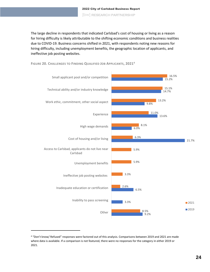The large decline in respondents that indicated Carlsbad's cost of housing or living as a reason for hiring difficulty is likely attributable to the shifting economic conditions and business realities due to COVID-19. Business concerns shifted in 2021, with respondents noting new reasons for hiring difficulty, including unemployment benefits, the geographic location of applicants, and ineffective job posting websites.

**FIGURE 20. CHALLENGES TO FINDING QUALIFIED JOB APPLICANTS, 2021<sup>4</sup>**



<sup>4</sup> "Don't know/ Refused" responses were factored out of this analysis. Comparisons between 2019 and 2021 are made where data is available. If a comparison is not featured, there were no responses for the category in either 2019 or 2021.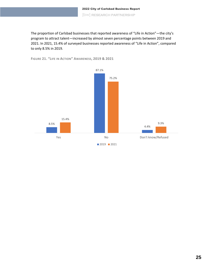The proportion of Carlsbad businesses that reported awareness of "Life in Action"—the city's program to attract talent—increased by almost seven percentage points between 2019 and 2021. In 2021, 15.4% of surveyed businesses reported awareness of "Life in Action", compared to only 8.5% in 2019.



**FIGURE 21. "LIFE IN ACTION" AWARENESS, 2019 & 2021**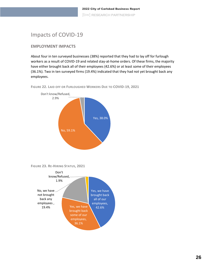## <span id="page-26-0"></span>Impacts of COVID-19

### **EMPLOYMENT IMPACTS**

About four in ten surveyed businesses (38%) reported that they had to lay off for furlough workers as a result of COVID-19 and related stay-at-home orders. Of these firms, the majority have either brought back all of their employees (42.6%) or at least some of their employees (36.1%). Two in ten surveyed firms (19.4%) indicated that they had not yet brought back any employees.

**FIGURE 22. LAID OFF OR FURLOUGHED WORKERS DUE TO COVID-19, 2021**



**FIGURE 23. RE-HIRING STATUS, 2021**

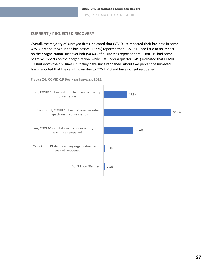### **CURRENT / PROJECTED RECOVERY**

Overall, the majority of surveyed firms indicated that COVID-19 impacted their business in some way. Only about two in ten businesses (18.9%) reported that COVID-19 had little to no impact on their organization. Just over half (54.4%) of businesses reported that COVID-19 had some negative impacts on their organization, while just under a quarter (24%) indicated that COVID-19 shut down their business, but they have since reopened. About two percent of surveyed firms reported that they shut down due to COVID-19 and have not yet re-opened.



**27**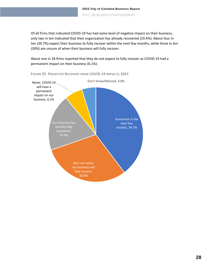Of all firms that indicated COVID-19 has had some level of negative impact on their business, only two in ten indicated that their organization has already recovered (19.4%). About four in ten (39.7%) expect their business to fully recover within the next few months, while three in ten (30%) are unsure of when their business will fully recover.

About one in 18 firms reported that they do not expect to fully recover as COVID-19 had a permanent impact on their business (6.1%).



**FIGURE 25. PROJECTED RECOVERY FROM COVID-19 IMPACTS, 2021**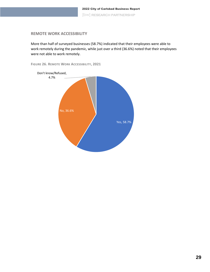#### **REMOTE WORK ACCESSIBILITY**

More than half of surveyed businesses (58.7%) indicated that their employees were able to work remotely during the pandemic, while just over a third (36.6%) noted that their employees were not able to work remotely.



**FIGURE 26. REMOTE WORK ACCESSIBILITY, 2021**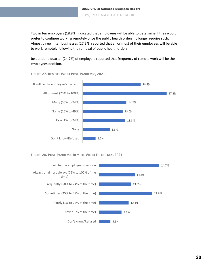Two in ten employers (18.8%) indicated that employees will be able to determine if they would prefer to continue working remotely once the public health orders no longer require such. Almost three in ten businesses (27.2%) reported that all or most of their employees will be able to work remotely following the removal of public health orders.

Just under a quarter (24.7%) of employers reported that frequency of remote work will be the employees decision.



**FIGURE 27. REMOTE WORK POST-PANDEMIC, 2021**

#### **FIGURE 28. POST-PANDEMIC REMOTE WORK FREQUENCY, 2021**

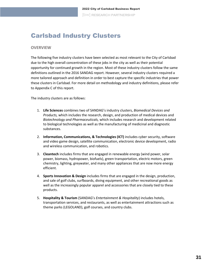# <span id="page-31-0"></span>Carlsbad Industry Clusters

#### **OVERVIEW**

The following five industry clusters have been selected as most relevant to the City of Carlsbad due to the high overall concentration of these jobs in the city as well as their potential opportunity for continued growth in the region. Most of these industry clusters follow the same definitions outlined in the 2016 SANDAG report. However, several industry clusters required a more tailored approach and definition in order to best capture the specific industries that power these clusters in Carlsbad. For more detail on methodology and industry definitions, please refer to Appendix C of this report.

The industry clusters are as follows:

- 1. **Life Sciences** combines two of SANDAG's industry clusters, *Biomedical Devices and Products,* which includes the research, design, and production of medical devices and *Biotechnology and Pharmaceuticals,* which includes research and development related to biological technologies as well as the manufacturing of medicinal and diagnostic substances.
- 2. **Information, Communications, & Technologies (ICT)** includes cyber security, software and video game design, satellite communication, electronic device development, radio and wireless communication, and robotics.
- 3. **Cleantech** includes firms that are engaged in renewable energy (wind power, solar power, biomass, hydropower, biofuels), green transportation, electric motors, green chemistry, lighting, greywater, and many other appliances that are now more energy efficient.
- 4. **Sports Innovation & Design** includes firms that are engaged in the design, production, and sale of golf clubs, surfboards, diving equipment, and other recreational goods as well as the increasingly popular apparel and accessories that are closely tied to these products.
- 5. **Hospitality & Tourism** (SANDAG's *Entertainment & Hospitality*) includes hotels, transportation services, and restaurants, as well as entertainment attractions such as theme parks (LEGOLAND), golf courses, and country clubs.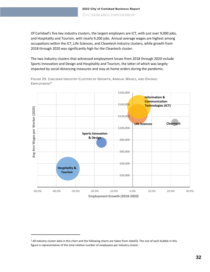Of Carlsbad's five key industry clusters, the largest employers are ICT, with just over 9,000 jobs, and Hospitality and Tourism, with nearly 9,200 jobs. Annual average wages are highest among occupations within the ICT, Life Sciences, and Cleantech industry clusters, while growth from 2018 through 2020 was significantly high for the Cleantech cluster.

The two industry clusters that witnessed employment losses from 2018 through 2020 include Sports Innovation and Design and Hospitality and Tourism, the latter of which was largely impacted by social distancing measures and stay-at-home orders during the pandemic.

**FIGURE 29. CARLSBAD INDUSTRY CLUSTERS BY GROWTH, ANNUAL WAGES, AND OVERALL EMPLOYMENT<sup>5</sup>**



<sup>&</sup>lt;sup>5</sup> All industry cluster data in this chart and the following charts are taken from JobsEQ. The size of each bubble in this figure is representative of the total relative number of employees per industry cluster.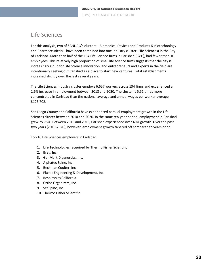## <span id="page-33-0"></span>Life Sciences

For this analysis, two of SANDAG's clusters—Biomedical Devices and Products & Biotechnology and Pharmaceuticals—have been combined into one industry cluster (Life Sciences) in the City of Carlsbad. More than half of the 134 Life Science firms in Carlsbad (54%), had fewer than 10 employees. This relatively high proportion of small life science firms suggests that the city is increasingly a hub for Life Science innovation, and entrepreneurs and experts in the field are intentionally seeking out Carlsbad as a place to start new ventures. Total establishments increased slightly over the last several years.

The Life Sciences industry cluster employs 6,657 workers across 134 firms and experienced a 2.6% increase in employment between 2018 and 2020. The cluster is 5.51 times more concentrated in Carlsbad than the national average and annual wages per worker average \$123,702.

San Diego County and California have experienced parallel employment growth in the Life Sciences cluster between 2010 and 2020. In the same ten-year period, employment in Carlsbad grew by 75%. Between 2016 and 2018, Carlsbad experienced over 40% growth. Over the past two years (2018-2020), however, employment growth tapered off compared to years prior.

Top 10 Life Sciences employers in Carlsbad:

- 1. Life Technologies (acquired by Thermo Fisher Scientific)
- 2. Breg, Inc.
- 3. GenMark Diagnostics, Inc.
- 4. Alphatec Spine, Inc.
- 5. Beckman Coulter, Inc.
- 6. Plastic Engineering & Development, Inc.
- 7. Respironics California
- 8. Ortho Organizers, Inc.
- 9. SeaSpine, Inc.
- 10. Thermo Fisher Scientific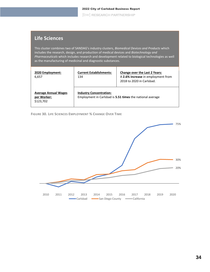### **Life Sciences**

This cluster combines two of SANDAG's industry clusters, *Biomedical Devices and Products* which includes the research, design, and production of medical devices and *Biotechnology and Pharmaceuticals* which includes research and development related to biological technologies as well as the manufacturing of medicinal and diagnostic substances.

| 2020 Employment:<br>6,657                               | <b>Current Establishments:</b><br>134                                                       | <b>Change over the Last 2 Years:</b><br>A 2.6% increase in employment from<br>2018 to 2020 in Carlsbad. |
|---------------------------------------------------------|---------------------------------------------------------------------------------------------|---------------------------------------------------------------------------------------------------------|
| <b>Average Annual Wages</b><br>per Worker:<br>\$123,702 | <b>Industry Concentration:</b><br>Employment in Carlsbad is 5.51 times the national average |                                                                                                         |

**FIGURE 30. LIFE SCIENCES EMPLOYMENT % CHANGE OVER TIME**

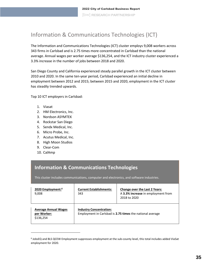# <span id="page-35-0"></span>Information & Communications Technologies (ICT)

The Information and Communications Technologies (ICT) cluster employs 9,008 workers across 343 firms in Carlsbad and is 2.75 times more concentrated in Carlsbad than the national average. Annual wages per worker average \$136,254, and the ICT industry cluster experienced a 3.3% increase in the number of jobs between 2018 and 2020.

San Diego County and California experienced steady parallel growth in the ICT cluster between 2010 and 2020. In the same ten-year period, Carlsbad experienced an initial decline in employment between 2012 and 2015; between 2015 and 2020, employment in the ICT cluster has steadily trended upwards.

Top 10 ICT employers in Carlsbad:

- 1. Viasat
- 2. HM Electronics, Inc.
- 3. Nordson ASYMTEK
- 4. Rockstar San Diego
- 5. Sendx Medical, Inc.
- 6. Micro Probe, Inc.
- 7. Acutus Medical, Inc.
- 8. High Moon Studios
- 9. Clear-Com
- 10. CalAmp

### **Information & Communications Technologies**

This cluster includes communications, computer and electronics, and software industries.

| 2020 Employment: <sup>6</sup><br>9,008                  | <b>Current Establishments:</b><br>343                                                       | <b>Change over the Last 2 Years:</b><br>A 3.3% increase in employment from<br>2018 to 2020 |
|---------------------------------------------------------|---------------------------------------------------------------------------------------------|--------------------------------------------------------------------------------------------|
| <b>Average Annual Wages</b><br>per Worker:<br>\$136.254 | <b>Industry Concentration:</b><br>Employment in Carlsbad is 2.75 times the national average |                                                                                            |

<sup>6</sup> JobsEQ and BLS QCEW Employment suppresses employment at the sub-county level, this total includes added ViaSat employment for 2020.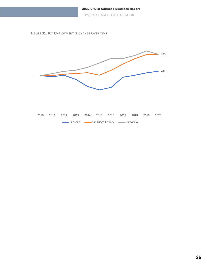





|  | 2010 2011 2012 2013 2014 2015 2016 2017 2018 2019 2020 |  |  |  |  |
|--|--------------------------------------------------------|--|--|--|--|
|  | Carlsbad Carlsbad San Diego County California          |  |  |  |  |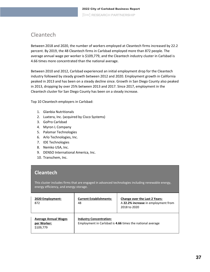## <span id="page-37-0"></span>Cleantech

Between 2018 and 2020, the number of workers employed at Cleantech firms increased by 22.2 percent. By 2019, the 48 Cleantech firms in Carlsbad employed more than 872 people. The average annual wage per worker is \$109,779, and the Cleantech industry cluster in Carlsbad is 4.66 times more concentrated than the national average.

Between 2010 and 2012, Carlsbad experienced an initial employment drop for the Cleantech industry followed by steady growth between 2012 and 2020. Employment growth in California peaked in 2013 and has been on a steady decline since. Growth in San Diego County also peaked in 2013, dropping by over 25% between 2013 and 2017. Since 2017, employment in the Cleantech cluster for San Diego County has been on a steady increase.

Top 10 Cleantech employers in Carlsbad:

- 1. Glanbia Nutritionals
- 2. Luxtera, Inc. (acquired by Cisco Systems)
- 3. GoPro Carlsbad
- 4. Myron L Company
- 5. Palomar Technologies
- 6. Arlo Technologies, Inc.
- 7. IDE Technologies
- 8. Nemko USA, Inc.
- 9. DENSO International America, Inc.
- 10. Transchem, Inc.

### **Cleantech**

This cluster includes firms that are engaged in advanced technologies including renewable energy, energy efficiency, and energy storage.

| 2020 Employment:<br>872                                 | <b>Current Establishments:</b><br>48                                                        | <b>Change over the Last 2 Years:</b><br>A 22.2% increase in employment from<br>2018 to 2020 |
|---------------------------------------------------------|---------------------------------------------------------------------------------------------|---------------------------------------------------------------------------------------------|
| <b>Average Annual Wages</b><br>per Worker:<br>\$109,779 | <b>Industry Concentration:</b><br>Employment in Carlsbad is 4.66 times the national average |                                                                                             |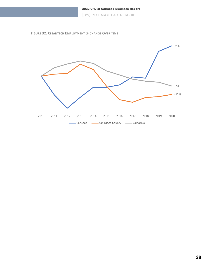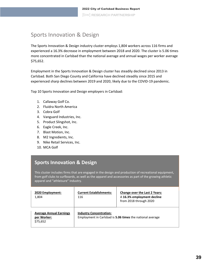# <span id="page-39-0"></span>Sports Innovation & Design

The Sports Innovation & Design industry cluster employs 1,804 workers across 116 firms and experienced a 16.3% decrease in employment between 2018 and 2020. The cluster is 5.06 times more concentrated in Carlsbad than the national average and annual wages per worker average \$75,652.

Employment in the Sports Innovation & Design cluster has steadily declined since 2013 in Carlsbad. Both San Diego County and California have declined steadily since 2015 and experienced sharp declines between 2019 and 2020, likely due to the COVID-19 pandemic.

Top 10 Sports Innovation and Design employers in Carlsbad:

- 1. Callaway Golf Co.
- 2. Fluidra North America
- 3. Cobra Golf
- 4. Vanguard Industries, Inc.
- 5. Product Slingshot, Inc.
- 6. Eagle Creek, Inc.
- 7. Blast Motion, Inc.
- 8. M2 Ingredients, Inc.
- 9. Nike Retail Services, Inc.
- 10. MCA Golf

### **Sports Innovation & Design**

This cluster includes firms that are engaged in the design and production of recreational equipment, from golf clubs to surfboards, as well as the apparel and accessories as part of the growing athletic apparel and "athleisure" industry.

| 2020 Employment:<br>1,804                                 | <b>Current Establishments:</b><br>116                                                       | <b>Change over the Last 2 Years:</b><br>A 16.3% employment decline<br>from 2018 through 2020 |
|-----------------------------------------------------------|---------------------------------------------------------------------------------------------|----------------------------------------------------------------------------------------------|
| <b>Average Annual Earnings</b><br>per Worker:<br>\$75,652 | <b>Industry Concentration:</b><br>Employment in Carlsbad is 5.06 times the national average |                                                                                              |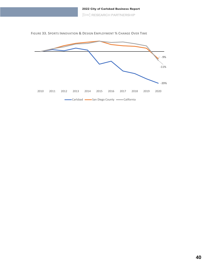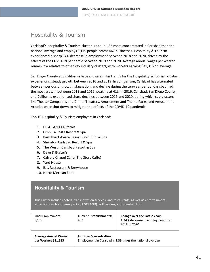## <span id="page-41-0"></span>Hospitality & Tourism

Carlsbad's Hospitality & Tourism cluster is about 1.35 more concentrated in Carlsbad than the national average and employs 9,179 people across 467 businesses. Hospitality & Tourism experienced a sharp 34% decrease in employment between 2018 and 2020, driven by the effects of the COVID-19 pandemic between 2019 and 2020. Average annual wages per worker remain low relative to other key industry clusters, with workers earning \$31,315 on average.

San Diego County and California have shown similar trends for the Hospitality & Tourism cluster, experiencing steady growth between 2010 and 2019. In comparison, Carlsbad has alternated between periods of growth, stagnation, and decline during the ten-year period. Carlsbad had the most growth between 2013 and 2016, peaking at 41% in 2016. Carlsbad, San Diego County, and California experienced sharp declines between 2019 and 2020, during which sub-clusters like Theater Companies and Dinner Theaters, Amusement and Theme Parks, and Amusement Arcades were shut down to mitigate the effects of the COVID-19 pandemic.

Top 10 Hospitality & Tourism employers in Carlsbad:

- 1. LEGOLAND California
- 2. Omni La Costa Resort & Spa
- 3. Park Hyatt Aviara Resort, Golf Club, & Spa
- 4. Sheraton Carlsbad Resort & Spa
- 5. The Westin Carlsbad Resort & Spa
- 6. Dave & Buster's
- 7. Calvary Chapel Caffe (The Story Caffe)
- 8. Yard House
- 9. BJ's Restaurant & Brewhouse
- 10. Norte Mexican Food

### **Hospitality & Tourism**

This cluster includes hotels, transportation services, and restaurants, as well as entertainment attractions such as theme parks (LEGOLAND), golf courses, and country clubs.

| 2020 Employment:<br>9,179                           | <b>Current Establishments:</b><br>467 | <b>Change over the Last 2 Years:</b><br>A 34% decrease in employment from<br>2018 to 2020 |
|-----------------------------------------------------|---------------------------------------|-------------------------------------------------------------------------------------------|
| <b>Average Annual Wages</b><br>per Worker: \$31,315 | <b>Industry Concentration:</b>        | Employment in Carlsbad is 1.35 times the national average                                 |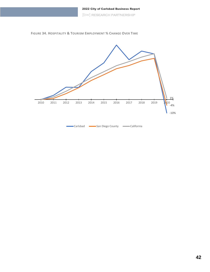



| •Carlsbad | San Diego County | ∙California |
|-----------|------------------|-------------|
|-----------|------------------|-------------|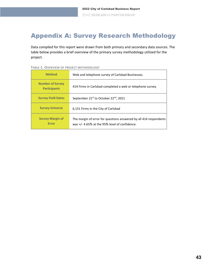# <span id="page-43-0"></span>Appendix A: Survey Research Methodology

Data compiled for this report were drawn from both primary and secondary data sources. The table below provides a brief overview of the primary survey methodology utilized for the project.

| <b>Method</b>                                  | Web and telephone survey of Carlsbad Businesses.                                                                     |
|------------------------------------------------|----------------------------------------------------------------------------------------------------------------------|
| <b>Number of Survey</b><br><b>Participants</b> | 414 Firms in Carlsbad completed a web or telephone survey.                                                           |
| <b>Survey Field Dates</b>                      | September 21st to October 22nd, 2021                                                                                 |
| <b>Survey Universe</b>                         | 6.151 Firms in the City of Carlsbad                                                                                  |
| <b>Survey Margin of</b><br><b>Error</b>        | The margin of error for questions answered by all 414 respondents<br>was $+/-$ 4.65% at the 95% level of confidence. |

#### **TABLE 1. OVERVIEW OF PROJECT METHODOLOGY**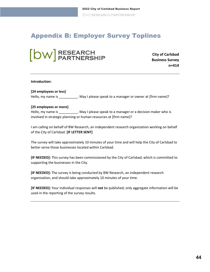# <span id="page-44-0"></span>Appendix B: Employer Survey Toplines

# **b C C C City of Carlsbad**<br> **City of Carlsbad**<br> **Rusiness Survey**

**Business Survey n=414**

#### **Introduction:**

#### **[24 employees or less]**

Hello, my name is \_\_\_\_\_\_\_\_\_\_\_. May I please speak to a manager or owner at [firm name]?

#### **[25 employees or more]**

Hello, my name is **Example 1** . May I please speak to a manager or a decision maker who is involved in strategic planning or human resources at [firm name]?

I am calling on behalf of BW Research, an independent research organization working on behalf of the City of Carlsbad. **[IF LETTER SENT]**

The survey will take approximately 10 minutes of your time and will help the City of Carlsbad to better serve those businesses located within Carlsbad.

**[IF NEEDED]:** This survey has been commissioned by the City of Carlsbad, which is committed to supporting the businesses in the City.

**[IF NEEDED]:** The survey is being conducted by BW Research, an independent research organization, and should take approximately 10 minutes of your time.

**[IF NEEDED]:** Your individual responses will **not** be published; only aggregate information will be used in the reporting of the survey results.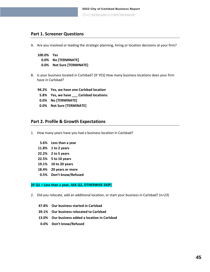### **Part 1. Screener Questions**

A. Are you involved or leading the strategic planning, hiring or location decisions at your firm?

```
100.0% Yes
0.0% No [TERMINATE]
0.0% Not Sure [TERMINATE]
```
- B. Is your business located in Carlsbad? [IF YES] How many business locations does your firm have in Carlsbad?
	- **94.2% Yes, we have one Carlsbad location**
	- **5.8% Yes, we have \_\_\_ Carlsbad locations:**
	- **0.0% No [TERMINATE]**
	- **0.0% Not Sure [TERMINATE]**

#### **Part 2. Profile & Growth Expectations**

- <span id="page-45-0"></span>1. How many years have you had a business location in Carlsbad?
	- **5.6% Less than a year**
	- **11.8% 1 to 2 years**
	- **22.2% 2 to 5 years**
	- **22.5% 5 to 10 years**
	- **19.1% 10 to 20 years**
	- **18.4% 20 years or more**
	- **0.5% Don't know/Refused**

#### **[IF [Q1](#page-45-0) = Less than a year, ASK [Q2,](#page-45-1) OTHERWISE SKIP]**

- <span id="page-45-1"></span>2. Did you relocate, add an additional location, or start your business in Carlsbad? (*n=23*)
	- **47.8% Our business started in Carlsbad**
	- **39.1% Our business relocated to Carlsbad**
	- **13.0% Our business added a location in Carlsbad**
	- **0.0% Don't know/Refused**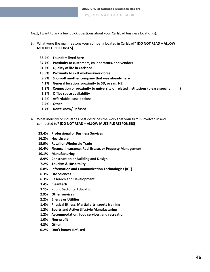Next, I want to ask a few quick questions about your Carlsbad business location(s).

- 3. What were the main reasons your company located in Carlsbad? **[DO NOT READ – ALLOW MULTIPLE RESPONSES]** 
	- **38.4% Founders lived here**
	- **37.7% Proximity to customers, collaborators, and vendors**
	- **31.2% Quality of life in Carlsbad**
	- **13.5% Proximity to skill workers/workforce**
	- **9.9% Spun-off another company that was already here**
	- **4.1% General location (proximity to SD, ocean, I-5)**
	- **1.9% Connection or proximity to university or related institutions (please specify\_\_\_\_\_)**
	- **1.9% Office space availability**
	- **1.4% Affordable lease options**
	- **2.4% Other**
	- **1.7% Don't know/ Refused**
- <span id="page-46-0"></span>4. What industry or industries best describes the work that your firm is involved in and connected to? **[DO NOT READ – ALLOW MULTIPLE RESPONSES]**
	- **23.4% Professional or Business Services**
	- **16.2% Healthcare**
	- **15.9% Retail or Wholesale Trade**
	- **10.4% Finance, Insurance, Real Estate, or Property Management**
	- **10.1% Manufacturing**
	- **8.9% Construction or Building and Design**
	- **7.2% Tourism & Hospitality**
	- **6.8% Information and Communication Technologies (ICT)**
	- **6.3% Life Sciences**
	- **6.3% Research and Development**
	- **3.4% Cleantech**
	- **3.1% Public Sector or Education**
	- **2.9% Other services**
	- **2.2% Energy or Utilities**
	- **1.4% Physical fitness, Martial arts, sports training**
	- **1.2% Sports and Active Lifestyle Manufacturing**
	- **1.2% Accommodation, food services, and recreation**
	- **1.0% Non-profit**
	- **4.3% Other**
	- **0.2% Don't know/ Refused**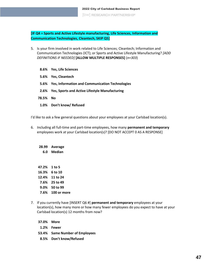**[IF [Q4](#page-46-0) = Sports and Active Lifestyle manufacturing, Life Sciences, Information and Communication Technologies, Cleantech, SKIP [Q5\]](#page-47-0)**

<span id="page-47-0"></span>5. Is your firm involved in work related to Life Sciences; Cleantech; Information and Communication Technologies (ICT); or Sports and Active Lifestyle Manufacturing? *[ADD DEFINITIONS IF NEEDED]* **[ALLOW MULTIPLE RESPONSES]** (*n=303*)

|          | 8.6% Yes, Life Sciences                              |
|----------|------------------------------------------------------|
|          | 5.6% Yes, Cleantech                                  |
|          | 5.6% Yes, Information and Communication Technologies |
|          | 2.6% Yes, Sports and Active Lifestyle Manufacturing  |
| 78.5% No |                                                      |
|          | 1.0% Don't know/Refused                              |
|          |                                                      |

I'd like to ask a few general questions about your employees at your Carlsbad location(s).

6. Including all full-time and part-time employees, how many **permanent and temporary** employees work at your Carlsbad location(s)? [DO NOT ACCEPT 0 AS A RESPONSE]

| 28.99        | Average          |
|--------------|------------------|
|              | 6.0 Median       |
|              |                  |
|              |                  |
| 47.2% 1 to 5 |                  |
|              | 16.3% 6 to 10    |
|              | 12.4% 11 to 24   |
|              | 7.6% 25 to 49    |
|              | 9.0% 50 to 99    |
|              | 7.6% 100 or more |

<span id="page-47-1"></span>7. If you currently have [INSERT Q6 #] **permanent and temporary** employees at your location(s), how many more or how many fewer employees do you expect to have at your Carlsbad location(s) 12 months from now?

| 53.4% Same Number of Employees |
|--------------------------------|
|                                |
|                                |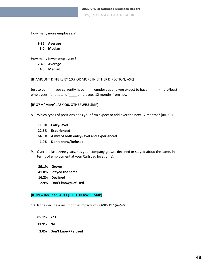2022 City of Carlsbad Business Report [bw] RESEARCH PARTNERSHIP

How many more employees?

**9.96 Average**

**3.0 Median**

How many fewer employees?

**7.40 Average**

**4.0 Median**

[IF AMOUNT DIFFERS BY 10% OR MORE IN EITHER DIRECTION, ASK]

Just to confirm, you currently have \_\_\_\_ employees and you expect to have \_\_\_\_\_ (more/less) employees, for a total of \_\_\_\_ employees 12 months from now.

#### **[IF [Q7](#page-47-1) = "More", ASK [Q8,](#page-48-0) OTHERWISE SKIP]**

- <span id="page-48-0"></span>8. Which types of positions does your firm expect to add over the next 12 months? (*n=155*)
	- **11.0% Entry-level 22.6% Experienced 64.5% A mix of both entry-level and experienced 1.9% Don't know/Refused**
- <span id="page-48-1"></span>9. Over the last three years, has your company grown, declined or stayed about the same, in terms of employment at your Carlsbad location(s).
	- **39.1% Grown**
	- **41.8% Stayed the same**
	- **16.2% Declined**
	- **2.9% Don't know/Refused**

#### **[IF [Q9](#page-48-1) = Declined, ASK [Q10,](#page-48-2) OTHERWISE SKIP]**

- <span id="page-48-2"></span>10. Is the decline a result of the impacts of COVID-19? (*n=67*)
	- **85.1% Yes**
	- **11.9% No**
	- **3.0% Don't know/Refused**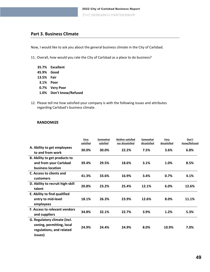### **Part 3. Business Climate**

Now, I would like to ask you about the general business climate in the City of Carlsbad.

11. Overall, how would you rate the City of Carlsbad as a place to do business?

|            | 35.7% Excellent         |
|------------|-------------------------|
| 45.9% Good |                         |
| 13.5% Fair |                         |
| 3.1% Poor  |                         |
|            | 0.7% Very Poor          |
|            | 1.0% Don't know/Refused |

12. Please tell me how satisfied your company is with the following issues and attributes regarding Carlsbad's business climate.

#### **RANDOMIZE**

|                                                                                                  | Very<br>satisfied | Somewhat<br>satisfied | <b>Neither satisfied</b><br>nor dissatisfied | Somewhat<br>dissatisfied | Very<br>dissatisfied | Don't<br>know/Refused |
|--------------------------------------------------------------------------------------------------|-------------------|-----------------------|----------------------------------------------|--------------------------|----------------------|-----------------------|
| A. Ability to get employees<br>to and from work                                                  | 30.0%             | 30.0%                 | 22.2%                                        | 7.5%                     | 3.6%                 | 6.8%                  |
| B. Ability to get products to<br>and from your Carlsbad<br>business location                     | 39.4%             | 29.5%                 | 18.6%                                        | 3.1%                     | 1.0%                 | 8.5%                  |
| C. Access to clients and<br>customers                                                            | 41.3%             | 33.6%                 | 16.9%                                        | 3.4%                     | 0.7%                 | 4.1%                  |
| D. Ability to recruit high-skill<br>talent                                                       | 20.8%             | 23.2%                 | 25.4%                                        | 12.1%                    | 6.0%                 | 12.6%                 |
| E. Ability to find qualified<br>entry to mid-level<br>employees                                  | 18.1%             | 26.3%                 | 23.9%                                        | 12.6%                    | 8.0%                 | 11.1%                 |
| <b>F. Access to relevant vendors</b><br>and suppliers                                            | 34.8%             | 32.1%                 | 22.7%                                        | 3.9%                     | 1.2%                 | 5.3%                  |
| G. Regulatory climate (incl.<br>zoning, permitting, local<br>regulations, and related<br>issues) | 24.9%             | 24.4%                 | 24.9%                                        | 8.0%                     | 10.9%                | 7.0%                  |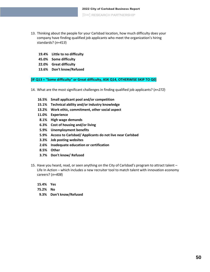- <span id="page-50-0"></span>13. Thinking about the people for your Carlsbad location, how much difficulty does your company have finding qualified job applicants who meet the organization's hiring standards? (*n=413*)
	- **19.4% Little to no difficulty**
	- **45.0% Some difficulty**
	- **22.0% Great difficulty**
	- **13.6% Don't know/Refused**

**[IF [Q13](#page-50-0) = "Some difficulty" or Great difficulty, ASK Q[14,](#page-50-1) OTHERWISE SKIP TO [Q0\]](#page-51-0)**

- <span id="page-50-1"></span>14. What are the most significant challenges in finding qualified job applicants? (*n=272*)
	- **16.5% Small applicant pool and/or competition**
	- **15.1% Technical ability and/or industry knowledge**
	- **13.2% Work ethic, commitment, other social aspect**
	- **11.0% Experience**
	- **8.1% High wage demands**
	- **6.3% Cost of housing and/or living**
	- **5.9% Unemployment benefits**
	- **5.9% Access to Carlsbad/ Applicants do not live near Carlsbad**
	- **3.3% Job posting websites**
	- **2.6% Inadequate education or certification**
	- **8.5% Other**
	- **3.7% Don't know/ Refused**
- 15. Have you heard, read, or seen anything on the City of Carlsbad's program to attract talent Life In Action – which includes a new recruiter tool to match talent with innovation economy careers? (*n=408*)

**15.4% Yes 75.2% No**

**9.3% Don't know/Refused**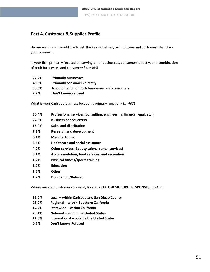### **Part 4. Customer & Supplier Profile**

Before we finish, I would like to ask the key industries, technologies and customers that drive your business.

<span id="page-51-0"></span>Is your firm primarily focused on serving other businesses, consumers directly, or a combination of both businesses and consumers? (*n=408*)

- **27.2% Primarily businesses**
- **40.0% Primarily consumers directly**
- **30.6% A combination of both businesses and consumers**
- **2.2% Don't know/Refused**

What is your Carlsbad business location's primary function? (*n=408*)

- **30.4% Professional services (consulting, engineering, finance, legal, etc.)**
- **24.5% Business headquarters**
- **15.0% Sales and distribution**
- **7.1% Research and development**
- **6.4% Manufacturing**
- **4.4% Healthcare and social assistance**
- **4.2% Other services (Beauty salons, rental services)**
- **3.4% Accommodation, food services, and recreation**
- **1.2% Physical fitness/sports training**
- **1.0% Education**
- **1.2% Other**
- **1.2% Don't know/Refused**

Where are your customers primarily located? **[ALLOW MULTIPLE RESPONSES]** (*n=408*)

- **52.0% Local – within Carlsbad and San Diego County**
- **26.0% Regional – within Southern California**
- **14.2% Statewide – within California**
- **29.4% National – within the United States**
- **11.5% International – outside the United States**
- **0.7% Don't know/ Refused**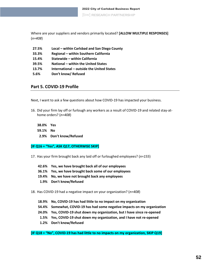Where are your suppliers and vendors primarily located? **[ALLOW MULTIPLE RESPONSES]** (*n=408*)

| 27.5% | Local - within Carlsbad and San Diego County |
|-------|----------------------------------------------|
| 33.3% | Regional - within Southern California        |
| 15.4% | Statewide - within California                |
| 39.5% | National – within the United States          |
| 13.7% | International – outside the United States    |

**5.6% Don't know/ Refused**

#### **Part 5. COVID-19 Profile**

Next, I want to ask a few questions about how COVID-19 has impacted your business.

<span id="page-52-0"></span>16. Did your firm lay off or furlough any workers as a result of COVID-19 and related stay-athome orders? (*n=408*)

**38.0% Yes 59.1% No 2.9% Don't know/Refused**

#### **[IF [Q16](#page-52-0) = "Yes", ASK Q[17,](#page-52-1) OTHERWISE SKIP]**

- <span id="page-52-1"></span>17. Has your firm brought back any laid off or furloughed employees? (*n=155*)
	- **42.6% Yes, we have brought back all of our employees**
	- **36.1% Yes, we have brought back some of our employees**
	- **19.4% No, we have not brought back any employees**
	- **1.9% Don't know/Refused**

<span id="page-52-2"></span>18. Has COVID-19 had a negative impact on your organization? (*n=408*)

- **18.9% No, COVID-19 has had little to no impact on my organization**
- **54.4% Somewhat, COVID-19 has had some negative impacts on my organization**
- **24.0% Yes, COVID-19 shut down my organization, but I have since re-opened**
- **1.5% Yes, COVID-19 shut down my organization, and I have not re-opened**
- **1.2% Don't know/Refused**

**[IF [Q18](#page-52-2) = "No", COVID-19 has had little to no impacts on my organization, SKIP [Q19\]](#page-53-0)**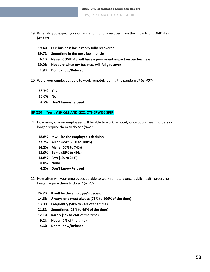- <span id="page-53-0"></span>19. When do you expect your organization to fully recover from the impacts of COVID-19? (*n=330*)
	- **19.4% Our business has already fully recovered**
	- **39.7% Sometime in the next few months**
	- **6.1% Never, COVID-19 will have a permanent impact on our business**
	- **30.0% Not sure when my business will fully recover**
	- **4.8% Don't know/Refused**
- <span id="page-53-1"></span>20. Were your employees able to work remotely during the pandemic? (*n=407*)
	- **58.7% Yes**
	- **36.6% No**
	- **4.7% Don't know/Refused**

#### **[IF [Q20](#page-53-1) = "Yes", ASK Q[21](#page-53-2) AND [Q22,](#page-53-3) OTHERWISE SKIP]**

- <span id="page-53-2"></span>21. How many of your employees will be able to work remotely once public health orders no longer require them to do so? (*n=239*)
	- **18.8% It will be the employee's decision**
	- **27.2% All or most (75% to 100%)**
	- **14.2% Many (50% to 74%)**
	- **13.0% Some (25% to 49%)**
	- **13.8% Few (1% to 24%)**
	- **8.8% None**
	- **4.2% Don't know/Refused**
- <span id="page-53-3"></span>22. How often will your employees be able to work remotely once public health orders no longer require them to do so? (*n=239*)
	- **24.7% It will be the employee's decision**
	- **14.6% Always or almost always (75% to 100% of the time)**
	- **13.0% Frequently (50% to 74% of the time)**
	- **21.8% Sometimes (25% to 49% of the time)**
	- **12.1% Rarely (1% to 24% of the time)**
	- **9.2% Never (0% of the time)**
	- **4.6% Don't know/Refused**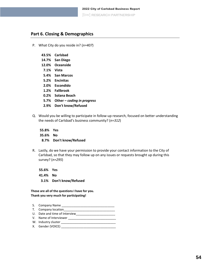### **Part 6. Closing & Demographics**

- P. What City do you reside in? (*n=407*)
	- **43.5% Carlsbad**
	- **14.7% San Diego**
	- **12.0% Oceanside**
	- **7.1% Vista**
	- **5.4% San Marcos**
	- **5.2% Encinitas**
	- **2.0% Escondido**
	- **1.2% Fallbrook**
	- **0.2% Solana Beach**
	- **5.7% Other –** *coding in progress*
	- **2.9% Don't know/Refused**
- Q. Would you be willing to participate in follow-up research, focused on better understanding the needs of Carlsbad's business community? (*n=312*)

**55.8% Yes 35.6% No 8.7% Don't know/Refused**

R. Lastly, do we have your permission to provide your contact information to the City of Carlsbad, so that they may follow up on any issues or requests brought up during this survey? (*n=295*)

**55.6% Yes 41.4% No 3.1% Don't know/Refused**

**Those are all of the questions I have for you. Thank you very much for participating!**

- S. Company Name \_\_\_\_\_\_\_\_\_\_\_\_\_\_\_\_\_\_\_\_\_\_\_\_\_\_\_\_\_\_\_ T. Company location\_\_\_\_\_\_ U. Date and time of Interview\_\_\_\_\_\_\_\_\_\_\_\_\_\_\_\_\_\_\_\_\_\_\_
- V. Name of Interviewer \_\_\_\_\_\_\_\_\_\_\_\_\_\_\_\_\_\_\_\_\_\_\_\_\_\_\_\_
- W. Industry cluster \_\_\_\_\_\_\_\_\_\_\_\_\_\_\_\_\_\_\_\_\_\_\_\_\_\_\_\_\_\_\_\_
- X. Gender (VOICE) \_\_\_\_\_\_\_\_\_\_\_\_\_\_\_\_\_\_\_\_\_\_\_\_\_\_\_\_\_\_\_\_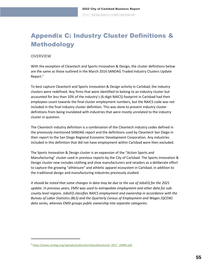# <span id="page-55-0"></span>Appendix C: Industry Cluster Definitions & Methodology

#### **OVERVIEW**

With the exception of Cleantech and Sports Innovation & Design, the cluster definitions below are the same as those outlined in the March 2016 SANDAG Traded Industry Clusters Update Report. 7

To best capture Cleantech and Sports Innovation & Design activity in Carlsbad, the industry clusters were redefined. Any firms that were identified to belong to an industry cluster but accounted for less than 10% of the industry's (6-digit NAICS) footprint in Carlsbad had their employees count towards the final cluster employment numbers, but the NAICS code was not included in the final industry cluster definition. This was done to prevent industry cluster definitions from being inundated with industries that were mostly unrelated to the industry cluster in question.

The Cleantech industry definition is a combination of the Cleantech industry codes defined in the previously mentioned SANDAG report and the definitions used by Cleantech San Diego in their report to the San Diego Regional Economic Development Corporation. Any industries included in this definition that did not have employment within Carlsbad were then excluded.

The Sports Innovation & Design cluster is an expansion of the "Action Sports and Manufacturing" cluster used in previous reports by the City of Carlsbad. The Sports Innovation & Design cluster now includes clothing and shoe manufacturers and retailers as a deliberate effort to capture the growing "athleisure" and athletic apparel ecosystem in Carlsbad, in addition to the traditional design and manufacturing industries previously studied.

*It should be noted that some changes in data may be due to the use of JobsEQ for the 2021 update. In previous years, EMSI was used to extrapolate employment and other data for subcounty level regions. JobsEQ classifies NAICS employment and ownership in accordance with the Bureau of Labor Statistics (BLS) and the Quarterly Census of Employment and Wages (QCEW) data series, whereas EMSI groups public ownership into separate categories.* 

<sup>7</sup> [https://www.sandag.org/uploads/publicationid/publicationid\\_2017\\_20489.pdf.](https://www.sandag.org/uploads/publicationid/publicationid_2017_20489.pdf)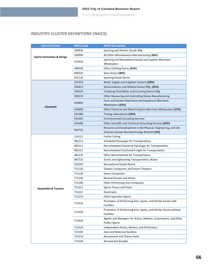### **INDUSTRY CLUSTER DEFINITIONS (NAICS)**

| <b>Industry Cluster</b>               | <b>NAICS Code</b> | <b>NAICS Description</b>                                           |  |  |
|---------------------------------------|-------------------|--------------------------------------------------------------------|--|--|
| <b>Sports Innovation &amp; Design</b> | 339920            | Sporting and Athletic Goods Mfg.                                   |  |  |
|                                       | 339999            | All Other Miscellaneous Manufacturing (20%)                        |  |  |
|                                       |                   | Sporting and Recreational Goods and Supplies Merchant              |  |  |
|                                       | 423910            | Wholesalers                                                        |  |  |
|                                       | 448190            | Other Clothing Stores (35%)                                        |  |  |
|                                       | 448210            | Shoe Stores (40%)                                                  |  |  |
|                                       | 451110            | <b>Sporting Goods Stores</b>                                       |  |  |
|                                       | 221310            | Water Supply and Irrigation Systems (20%)                          |  |  |
|                                       | 334413            | Semiconductor and Related Device Mfg. (25%)                        |  |  |
|                                       | 334514            | Totalizing Fluid Meter and Counting Device Mfg.                    |  |  |
|                                       | 334519            | Other Measuring and Controlling Device Manufacturing               |  |  |
|                                       | 423820            | Farm and Garden Machinery and Equipment Merchant                   |  |  |
| <b>Cleantech</b>                      |                   | Wholesalers (25%)                                                  |  |  |
|                                       | 424690            | Other Chemical and Allied Products Merchant Wholesalers (15%)      |  |  |
|                                       | 541380            | Testing Laboratories (10%)                                         |  |  |
|                                       | 541620            | <b>Environmental Consulting Services</b>                           |  |  |
|                                       | 541690            | Other Scientific and Technical Consulting Services (25%)           |  |  |
|                                       | 541715            | Research and Development in the Physical, Engineering, and Life    |  |  |
|                                       |                   | Sciences (except Nanotechnology Biotech) (5%)                      |  |  |
|                                       | 114111            | Finfish Fishing                                                    |  |  |
|                                       | 481111            | Scheduled Passenger Air Transportation                             |  |  |
|                                       | 481211            | Nonscheduled Chartered Passenger Air Transportation                |  |  |
|                                       | 481212            | Nonscheduled Chartered Freight Air Transportation                  |  |  |
|                                       | 481219            | Other Nonscheduled Air Transportation                              |  |  |
|                                       | 487210            | Scenic and Sightseeing Transportation, Water                       |  |  |
|                                       | 532292            | <b>Recreational Goods Rental</b>                                   |  |  |
|                                       | 711110            | Theater Companies and Dinner Theaters                              |  |  |
|                                       | 711120            | <b>Dance Companies</b>                                             |  |  |
|                                       | 711130            | <b>Musical Groups and Artists</b>                                  |  |  |
|                                       | 711190            | Other Performing Arts Companies                                    |  |  |
| <b>Hospitality &amp; Tourism</b>      | 711211            | Sports Teams and Clubs                                             |  |  |
|                                       | 711212            | Racetracks                                                         |  |  |
|                                       | 711219            | <b>Other Spectator Sports</b>                                      |  |  |
|                                       | 711310            | Promoters of Performing Arts, Sports, and Similar Events with      |  |  |
|                                       |                   | Facilities                                                         |  |  |
|                                       | 711320            | Promoters of Performing Arts, Sports, and Similar Events without   |  |  |
|                                       |                   | Facilities                                                         |  |  |
|                                       | 711410            | Agents and Managers for Artists, Athletes, Entertainers, and Other |  |  |
|                                       |                   | <b>Public Figures</b>                                              |  |  |
|                                       | 711510            | Independent Artists, Writers, and Performers                       |  |  |
|                                       | 712130            | Zoos and Botanical Gardens                                         |  |  |
|                                       | 713110            | <b>Amusement and Theme Parks</b>                                   |  |  |
|                                       | 713120            | <b>Amusement Arcades</b>                                           |  |  |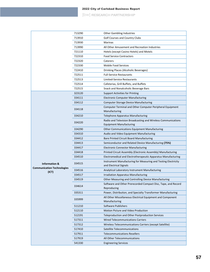### 2022 City of Carlsbad Business Report

[bw] RESEARCH PARTNERSHIP

|                                            | 713290 | <b>Other Gambling Industries</b>                                                         |  |  |
|--------------------------------------------|--------|------------------------------------------------------------------------------------------|--|--|
|                                            | 713910 | <b>Golf Courses and Country Clubs</b>                                                    |  |  |
|                                            | 713930 | <b>Marinas</b>                                                                           |  |  |
|                                            | 713990 | All Other Amusement and Recreation Industries                                            |  |  |
|                                            | 721110 | Hotels (except Casino Hotels) and Motels                                                 |  |  |
|                                            | 722310 | <b>Food Service Contractors</b>                                                          |  |  |
|                                            | 722320 | Caterers                                                                                 |  |  |
|                                            | 722330 | Mobile Food Services                                                                     |  |  |
|                                            | 722410 | Drinking Places (Alcoholic Beverages)                                                    |  |  |
|                                            | 722511 | <b>Full-Service Restaurants</b>                                                          |  |  |
|                                            | 722513 | <b>Limited-Service Restaurants</b>                                                       |  |  |
|                                            | 722514 | Cafeterias, Grill Buffets, and Buffets                                                   |  |  |
|                                            | 722515 | Snack and Nonalcoholic Beverage Bars                                                     |  |  |
|                                            | 323120 | Support Activities for Printing                                                          |  |  |
|                                            | 334111 | <b>Electronic Computer Manufacturing</b>                                                 |  |  |
|                                            | 334112 | Computer Storage Device Manufacturing                                                    |  |  |
|                                            | 334118 | Computer Terminal and Other Computer Peripheral Equipment                                |  |  |
|                                            |        | Manufacturing                                                                            |  |  |
|                                            | 334210 | <b>Telephone Apparatus Manufacturing</b>                                                 |  |  |
|                                            | 334220 | Radio and Television Broadcasting and Wireless Communications                            |  |  |
|                                            |        | <b>Equipment Manufacturing</b>                                                           |  |  |
|                                            | 334290 | <b>Other Communications Equipment Manufacturing</b>                                      |  |  |
|                                            | 334310 | Audio and Video Equipment Manufacturing                                                  |  |  |
|                                            | 334412 | Bare Printed Circuit Board Manufacturing                                                 |  |  |
|                                            | 334413 | Semiconductor and Related Device Manufacturing (75%)                                     |  |  |
|                                            | 334417 | <b>Electronic Connector Manufacturing</b>                                                |  |  |
|                                            | 334418 | Printed Circuit Assembly (Electronic Assembly) Manufacturing                             |  |  |
|                                            | 334510 | Electromedical and Electrotherapeutic Apparatus Manufacturing                            |  |  |
| <b>Information &amp;</b>                   | 334515 | Instrument Manufacturing for Measuring and Testing Electricity<br>and Electrical Signals |  |  |
| <b>Communication Technologies</b><br>(ICT) | 334516 | Analytical Laboratory Instrument Manufacturing                                           |  |  |
|                                            | 334517 | Irradiation Apparatus Manufacturing                                                      |  |  |
|                                            | 334519 | Other Measuring and Controlling Device Manufacturing                                     |  |  |
|                                            | 334614 | Software and Other Prerecorded Compact Disc, Tape, and Record<br>Reproducing             |  |  |
|                                            | 335311 | Power, Distribution, and Specialty Transformer Manufacturing                             |  |  |
|                                            | 335999 | All Other Miscellaneous Electrical Equipment and Component<br>Manufacturing              |  |  |
|                                            | 511210 | Software Publishers                                                                      |  |  |
|                                            | 512110 | Motion Picture and Video Production                                                      |  |  |
|                                            | 512191 | <b>Teleproduction and Other Postproduction Services</b>                                  |  |  |
|                                            | 517311 | <b>Wired Telecommunications Carriers</b>                                                 |  |  |
|                                            | 517312 | Wireless Telecommunications Carriers (except Satellite)                                  |  |  |
|                                            | 517410 | Satellite Telecommunications                                                             |  |  |
|                                            | 517911 | <b>Telecommunications Resellers</b>                                                      |  |  |
|                                            | 517919 | All Other Telecommunications                                                             |  |  |
|                                            | 541330 | <b>Engineering Services</b>                                                              |  |  |